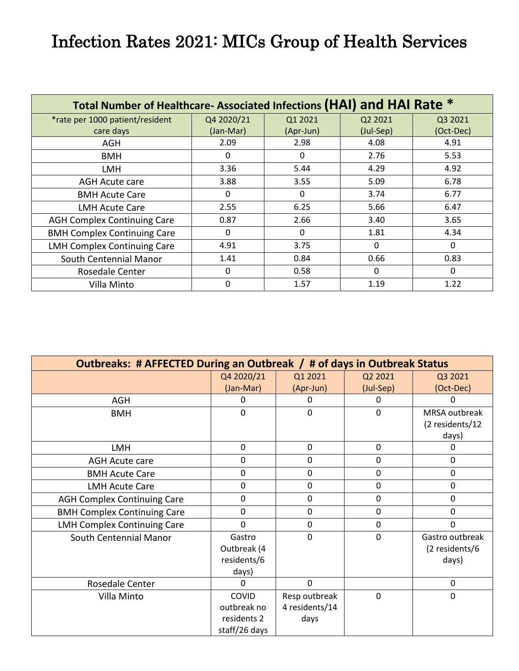## Infection Rates 2021: MICs Group of Health Services

| Total Number of Healthcare-Associated Infections (HAI) and HAI Rate * |              |           |           |           |  |
|-----------------------------------------------------------------------|--------------|-----------|-----------|-----------|--|
| *rate per 1000 patient/resident                                       | Q4 2020/21   | Q1 2021   | Q2 2021   | Q3 2021   |  |
| care days                                                             | (Jan-Mar)    | (Apr-Jun) | (Jul-Sep) | (Oct-Dec) |  |
| AGH                                                                   | 2.09         | 2.98      | 4.08      | 4.91      |  |
| <b>BMH</b>                                                            | 0            | 0         | 2.76      | 5.53      |  |
| <b>LMH</b>                                                            | 3.36         | 5.44      | 4.29      | 4.92      |  |
| <b>AGH Acute care</b>                                                 | 3.88         | 3.55      | 5.09      | 6.78      |  |
| <b>BMH Acute Care</b>                                                 | 0            | 0         | 3.74      | 6.77      |  |
| <b>LMH Acute Care</b>                                                 | 2.55         | 6.25      | 5.66      | 6.47      |  |
| <b>AGH Complex Continuing Care</b>                                    | 0.87         | 2.66      | 3.40      | 3.65      |  |
| <b>BMH Complex Continuing Care</b>                                    | $\Omega$     | $\Omega$  | 1.81      | 4.34      |  |
| <b>LMH Complex Continuing Care</b>                                    | 4.91         | 3.75      | $\Omega$  | 0         |  |
| South Centennial Manor                                                | 1.41         | 0.84      | 0.66      | 0.83      |  |
| Rosedale Center                                                       | $\Omega$     | 0.58      | $\Omega$  | 0         |  |
| Villa Minto                                                           | $\mathbf{0}$ | 1.57      | 1.19      | 1.22      |  |

| Outbreaks: # AFFECTED During an Outbreak / # of days in Outbreak Status |               |                |             |                 |  |
|-------------------------------------------------------------------------|---------------|----------------|-------------|-----------------|--|
|                                                                         | Q4 2020/21    | Q1 2021        | Q2 2021     | Q3 2021         |  |
|                                                                         | (Jan-Mar)     | (Apr-Jun)      | (Jul-Sep)   | (Oct-Dec)       |  |
| <b>AGH</b>                                                              | Ω             |                |             |                 |  |
| <b>BMH</b>                                                              | 0             | $\Omega$       | 0           | MRSA outbreak   |  |
|                                                                         |               |                |             | (2 residents/12 |  |
|                                                                         |               |                |             | days)           |  |
| <b>LMH</b>                                                              | 0             | 0              | 0           | 0               |  |
| <b>AGH Acute care</b>                                                   | 0             | $\mathbf 0$    | 0           | 0               |  |
| <b>BMH Acute Care</b>                                                   | 0             | 0              | 0           | 0               |  |
| <b>LMH Acute Care</b>                                                   | 0             | 0              | 0           | 0               |  |
| <b>AGH Complex Continuing Care</b>                                      | 0             | 0              | 0           | 0               |  |
| <b>BMH Complex Continuing Care</b>                                      | 0             | 0              | $\pmb{0}$   | 0               |  |
| <b>LMH Complex Continuing Care</b>                                      | 0             | 0              | $\mathbf 0$ | 0               |  |
| South Centennial Manor                                                  | Gastro        | 0              | 0           | Gastro outbreak |  |
|                                                                         | Outbreak (4   |                |             | (2 residents/6  |  |
|                                                                         | residents/6   |                |             | days)           |  |
|                                                                         | days)         |                |             |                 |  |
| Rosedale Center                                                         | 0             | $\mathbf{0}$   |             | $\mathbf 0$     |  |
| Villa Minto                                                             | <b>COVID</b>  | Resp outbreak  | $\mathbf 0$ | 0               |  |
|                                                                         | outbreak no   | 4 residents/14 |             |                 |  |
|                                                                         | residents 2   | days           |             |                 |  |
|                                                                         | staff/26 days |                |             |                 |  |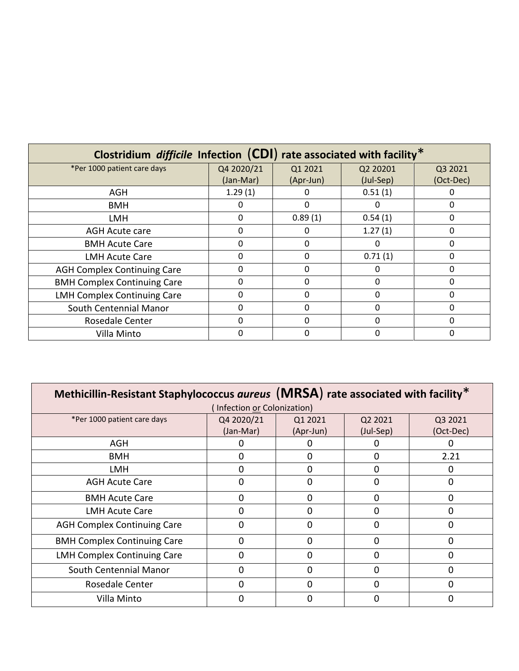| Clostridium <i>difficile</i> Infection $(CDI)$ rate associated with facility <sup>*</sup> |            |           |           |           |
|-------------------------------------------------------------------------------------------|------------|-----------|-----------|-----------|
| *Per 1000 patient care days                                                               | Q4 2020/21 | Q1 2021   | Q2 20201  | Q3 2021   |
|                                                                                           | (Jan-Mar)  | (Apr-Jun) | (Jul-Sep) | (Oct-Dec) |
| <b>AGH</b>                                                                                | 1.29(1)    |           | 0.51(1)   |           |
| <b>BMH</b>                                                                                | 0          | Ω         | O         | 0         |
| LMH                                                                                       | $\Omega$   | 0.89(1)   | 0.54(1)   | 0         |
| <b>AGH Acute care</b>                                                                     | $\Omega$   |           | 1.27(1)   | 0         |
| <b>BMH Acute Care</b>                                                                     | $\Omega$   | 0         | $\Omega$  | 0         |
| <b>LMH Acute Care</b>                                                                     | $\Omega$   | ŋ         | 0.71(1)   | 0         |
| <b>AGH Complex Continuing Care</b>                                                        | 0          | ŋ         | 0         | 0         |
| <b>BMH Complex Continuing Care</b>                                                        | $\Omega$   | ი         | 0         | O         |
| <b>LMH Complex Continuing Care</b>                                                        | $\Omega$   | O         | $\Omega$  | 0         |
| South Centennial Manor                                                                    | 0          | 0         | $\Omega$  | 0         |
| Rosedale Center                                                                           | $\Omega$   | O         | 0         | 0         |
| Villa Minto                                                                               | 0          |           | 0         |           |

| Methicillin-Resistant Staphylococcus aureus (MRSA) rate associated with facility* |            |           |              |           |  |
|-----------------------------------------------------------------------------------|------------|-----------|--------------|-----------|--|
| (Infection or Colonization)                                                       |            |           |              |           |  |
| *Per 1000 patient care days                                                       | Q4 2020/21 | Q1 2021   | Q2 2021      | Q3 2021   |  |
|                                                                                   | (Jan-Mar)  | (Apr-Jun) | (Jul-Sep)    | (Oct-Dec) |  |
| AGH                                                                               |            |           |              |           |  |
| <b>BMH</b>                                                                        | 0          | O         | 0            | 2.21      |  |
| <b>LMH</b>                                                                        | 0          | O         | 0            | 0         |  |
| <b>AGH Acute Care</b>                                                             |            |           | O            | O         |  |
| <b>BMH Acute Care</b>                                                             | 0          | 0         | 0            | 0         |  |
| LMH Acute Care                                                                    | 0          | O         | 0            | 0         |  |
| <b>AGH Complex Continuing Care</b>                                                | n          | ი         | O            | O         |  |
| <b>BMH Complex Continuing Care</b>                                                | 0          | 0         | $\Omega$     | $\Omega$  |  |
| <b>LMH Complex Continuing Care</b>                                                |            |           |              |           |  |
| South Centennial Manor                                                            | O          | n         | <sup>0</sup> | O         |  |
| Rosedale Center                                                                   |            |           |              |           |  |
| Villa Minto                                                                       |            |           |              |           |  |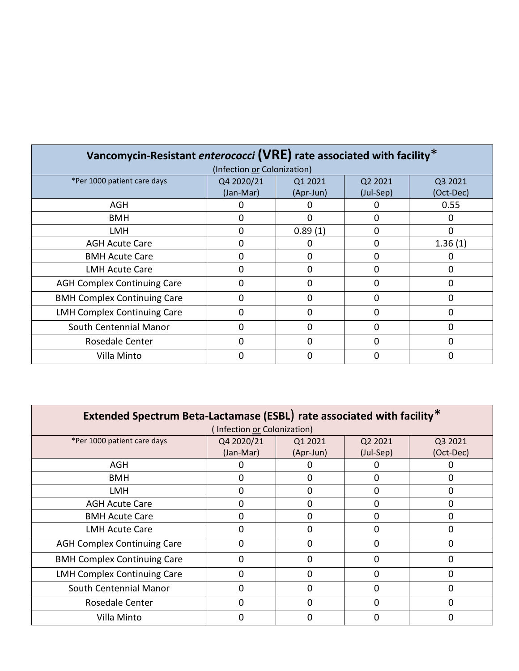| Vancomycin-Resistant enterococci (VRE) rate associated with facility* |                             |           |              |           |
|-----------------------------------------------------------------------|-----------------------------|-----------|--------------|-----------|
|                                                                       | (Infection or Colonization) |           |              |           |
| *Per 1000 patient care days                                           | Q4 2020/21                  | Q1 2021   | Q2 2021      | Q3 2021   |
|                                                                       | (Jan-Mar)                   | (Apr-Jun) | (Jul-Sep)    | (Oct-Dec) |
| <b>AGH</b>                                                            |                             |           |              | 0.55      |
| <b>BMH</b>                                                            | O                           | ŋ         | 0            | O         |
| <b>LMH</b>                                                            | ი                           | 0.89(1)   |              | O         |
| <b>AGH Acute Care</b>                                                 |                             |           | 0            | 1.36(1)   |
| <b>BMH Acute Care</b>                                                 | n                           | ი         | <sup>0</sup> |           |
| <b>LMH Acute Care</b>                                                 | O                           | ი         | $\Omega$     | 0         |
| <b>AGH Complex Continuing Care</b>                                    | n                           | ი         |              | n         |
| <b>BMH Complex Continuing Care</b>                                    | 0                           | O         | <sup>0</sup> | O         |
| <b>LMH Complex Continuing Care</b>                                    |                             |           |              |           |
| South Centennial Manor                                                |                             |           |              |           |
| Rosedale Center                                                       |                             |           |              |           |
| Villa Minto                                                           | O                           |           |              | O         |

| Extended Spectrum Beta-Lactamase (ESBL) rate associated with facility* |                            |           |           |           |
|------------------------------------------------------------------------|----------------------------|-----------|-----------|-----------|
|                                                                        | Infection or Colonization) |           |           |           |
| *Per 1000 patient care days                                            | Q4 2020/21                 | Q1 2021   | Q2 2021   | Q3 2021   |
|                                                                        | (Jan-Mar)                  | (Apr-Jun) | (Jul-Sep) | (Oct-Dec) |
| <b>AGH</b>                                                             |                            |           |           |           |
| BMH                                                                    | 0                          | O         | 0         | 0         |
| LMH                                                                    | ი                          | ი         | 0         |           |
| <b>AGH Acute Care</b>                                                  | ი                          | Π         | O         |           |
| <b>BMH Acute Care</b>                                                  |                            |           |           |           |
| <b>LMH Acute Care</b>                                                  | O                          | ი         | O         | n         |
| <b>AGH Complex Continuing Care</b>                                     | N                          |           |           |           |
| <b>BMH Complex Continuing Care</b>                                     | 0                          | ი         | $\Omega$  | ŋ         |
| <b>LMH Complex Continuing Care</b>                                     | ი                          |           |           |           |
| South Centennial Manor                                                 | O                          | ŋ         | 0         | ŋ         |
| Rosedale Center                                                        | ი                          |           |           |           |
| Villa Minto                                                            |                            |           |           |           |